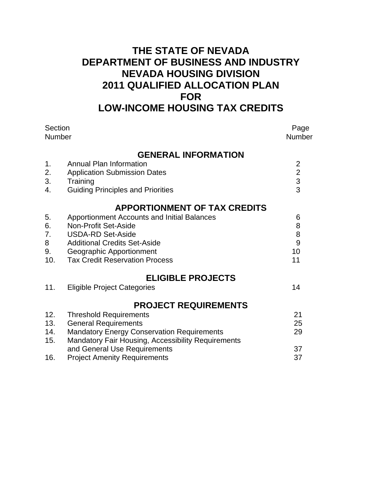## **THE STATE OF NEVADA DEPARTMENT OF BUSINESS AND INDUSTRY NEVADA HOUSING DIVISION 2011 QUALIFIED ALLOCATION PLAN FOR LOW-INCOME HOUSING TAX CREDITS**

| Section<br>Number |                                                           | Page<br><b>Number</b> |
|-------------------|-----------------------------------------------------------|-----------------------|
|                   | <b>GENERAL INFORMATION</b>                                |                       |
| 1.                | <b>Annual Plan Information</b>                            | $\overline{2}$        |
| 2.                | <b>Application Submission Dates</b>                       | $\overline{2}$        |
| 3.                | Training                                                  | $\frac{3}{3}$         |
| 4.                | <b>Guiding Principles and Priorities</b>                  |                       |
|                   | <b>APPORTIONMENT OF TAX CREDITS</b>                       |                       |
| 5.                | <b>Apportionment Accounts and Initial Balances</b>        | 6                     |
| 6.                | Non-Profit Set-Aside                                      | 8                     |
| 7.                | <b>USDA-RD Set-Aside</b>                                  | 8                     |
| 8                 | <b>Additional Credits Set-Aside</b>                       | 9                     |
| 9.                | Geographic Apportionment                                  | 10                    |
| 10.               | <b>Tax Credit Reservation Process</b>                     | 11                    |
|                   | <b>ELIGIBLE PROJECTS</b>                                  |                       |
| 11.               | <b>Eligible Project Categories</b>                        | 14                    |
|                   | <b>PROJECT REQUIREMENTS</b>                               |                       |
| 12.               | <b>Threshold Requirements</b>                             | 21                    |
| 13.               | <b>General Requirements</b>                               | 25                    |
| 14.               | <b>Mandatory Energy Conservation Requirements</b>         | 29                    |
| 15.               | <b>Mandatory Fair Housing, Accessibility Requirements</b> |                       |
| 16.               | and General Use Requirements                              | 37<br>37              |
|                   | <b>Project Amenity Requirements</b>                       |                       |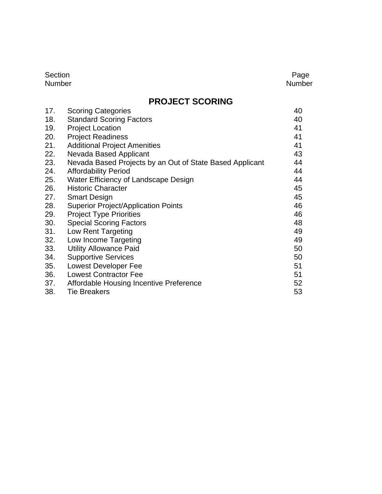| Section       | Page   |
|---------------|--------|
| <b>Number</b> | Number |

## **PROJECT SCORING**

| 17. | <b>Scoring Categories</b>                                | 40 |
|-----|----------------------------------------------------------|----|
| 18. | <b>Standard Scoring Factors</b>                          | 40 |
| 19. | <b>Project Location</b>                                  | 41 |
| 20. | <b>Project Readiness</b>                                 | 41 |
| 21. | <b>Additional Project Amenities</b>                      | 41 |
| 22. | Nevada Based Applicant                                   | 43 |
| 23. | Nevada Based Projects by an Out of State Based Applicant | 44 |
| 24. | <b>Affordability Period</b>                              | 44 |
| 25. | Water Efficiency of Landscape Design                     | 44 |
| 26. | <b>Historic Character</b>                                | 45 |
| 27. | <b>Smart Design</b>                                      | 45 |
| 28. | <b>Superior Project/Application Points</b>               | 46 |
| 29. | <b>Project Type Priorities</b>                           | 46 |
| 30. | <b>Special Scoring Factors</b>                           | 48 |
| 31. | Low Rent Targeting                                       | 49 |
| 32. | Low Income Targeting                                     | 49 |
| 33. | <b>Utility Allowance Paid</b>                            | 50 |
| 34. | <b>Supportive Services</b>                               | 50 |
| 35. | <b>Lowest Developer Fee</b>                              | 51 |
| 36. | <b>Lowest Contractor Fee</b>                             | 51 |
| 37. | Affordable Housing Incentive Preference                  | 52 |
| 38. | <b>Tie Breakers</b>                                      | 53 |